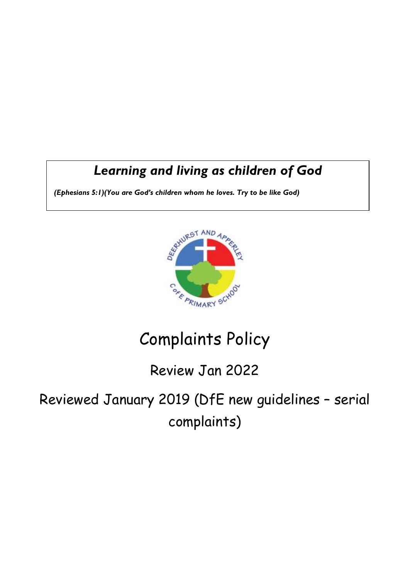## *Learning and living as children of God*

*(Ephesians 5:1)(You are God's children whom he loves. Try to be like God)*



# Complaints Policy

## Review Jan 2022

Reviewed January 2019 (DfE new guidelines – serial complaints)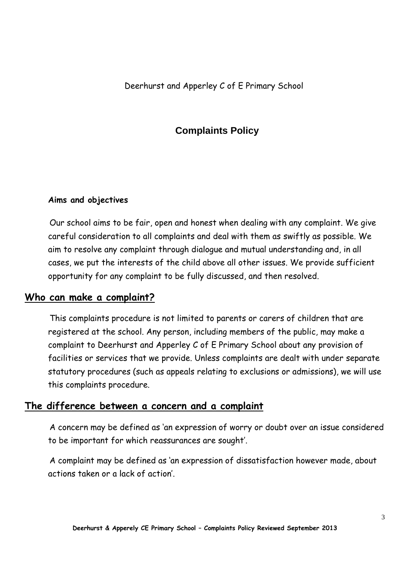Deerhurst and Apperley C of E Primary School

#### **Complaints Policy**

#### **Aims and objectives**

Our school aims to be fair, open and honest when dealing with any complaint. We give careful consideration to all complaints and deal with them as swiftly as possible. We aim to resolve any complaint through dialogue and mutual understanding and, in all cases, we put the interests of the child above all other issues. We provide sufficient opportunity for any complaint to be fully discussed, and then resolved.

#### **Who can make a complaint?**

This complaints procedure is not limited to parents or carers of children that are registered at the school. Any person, including members of the public, may make a complaint to Deerhurst and Apperley C of E Primary School about any provision of facilities or services that we provide. Unless complaints are dealt with under separate statutory procedures (such as appeals relating to exclusions or admissions), we will use this complaints procedure.

#### **The difference between a concern and a complaint**

A concern may be defined as 'an expression of worry or doubt over an issue considered to be important for which reassurances are sought'.

A complaint may be defined as 'an expression of dissatisfaction however made, about actions taken or a lack of action'.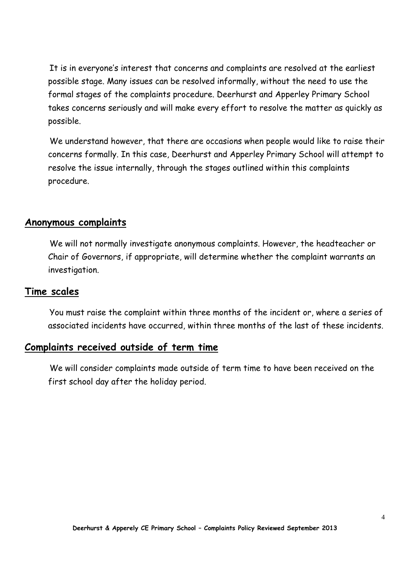It is in everyone's interest that concerns and complaints are resolved at the earliest possible stage. Many issues can be resolved informally, without the need to use the formal stages of the complaints procedure. Deerhurst and Apperley Primary School takes concerns seriously and will make every effort to resolve the matter as quickly as possible.

We understand however, that there are occasions when people would like to raise their concerns formally. In this case, Deerhurst and Apperley Primary School will attempt to resolve the issue internally, through the stages outlined within this complaints procedure.

#### **Anonymous complaints**

We will not normally investigate anonymous complaints. However, the headteacher or Chair of Governors, if appropriate, will determine whether the complaint warrants an investigation.

#### **Time scales**

You must raise the complaint within three months of the incident or, where a series of associated incidents have occurred, within three months of the last of these incidents.

#### **Complaints received outside of term time**

We will consider complaints made outside of term time to have been received on the first school day after the holiday period.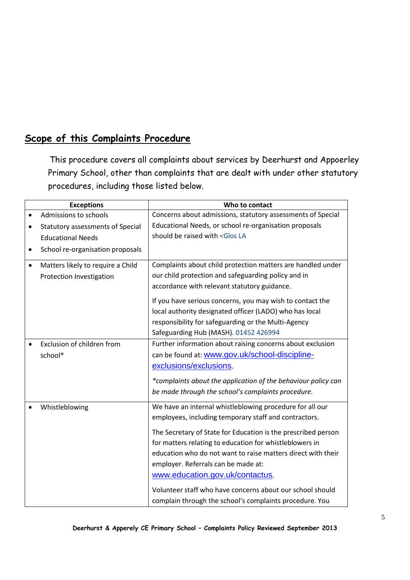#### **Scope of this Complaints Procedure**

This procedure covers all complaints about services by Deerhurst and Appoerley Primary School, other than complaints that are dealt with under other statutory procedures, including those listed below.

|           | <b>Exceptions</b>                       | Who to contact                                                |
|-----------|-----------------------------------------|---------------------------------------------------------------|
|           | Admissions to schools                   | Concerns about admissions, statutory assessments of Special   |
| $\bullet$ | <b>Statutory assessments of Special</b> | Educational Needs, or school re-organisation proposals        |
|           | <b>Educational Needs</b>                | should be raised with <glos la<="" th=""></glos>              |
| ٠         | School re-organisation proposals        |                                                               |
|           |                                         | Complaints about child protection matters are handled under   |
| ٠         | Matters likely to require a Child       |                                                               |
|           | Protection Investigation                | our child protection and safeguarding policy and in           |
|           |                                         | accordance with relevant statutory guidance.                  |
|           |                                         | If you have serious concerns, you may wish to contact the     |
|           |                                         | local authority designated officer (LADO) who has local       |
|           |                                         | responsibility for safeguarding or the Multi-Agency           |
|           |                                         | Safeguarding Hub (MASH). 01452 426994                         |
|           | Exclusion of children from              | Further information about raising concerns about exclusion    |
|           | school*                                 | can be found at: www.gov.uk/school-discipline-                |
|           |                                         | exclusions/exclusions.                                        |
|           |                                         | *complaints about the application of the behaviour policy can |
|           |                                         |                                                               |
|           |                                         | be made through the school's complaints procedure.            |
|           | Whistleblowing                          | We have an internal whistleblowing procedure for all our      |
|           |                                         | employees, including temporary staff and contractors.         |
|           |                                         | The Secretary of State for Education is the prescribed person |
|           |                                         | for matters relating to education for whistleblowers in       |
|           |                                         | education who do not want to raise matters direct with their  |
|           |                                         | employer. Referrals can be made at:                           |
|           |                                         | www.education.gov.uk/contactus.                               |
|           |                                         |                                                               |
|           |                                         | Volunteer staff who have concerns about our school should     |
|           |                                         | complain through the school's complaints procedure. You       |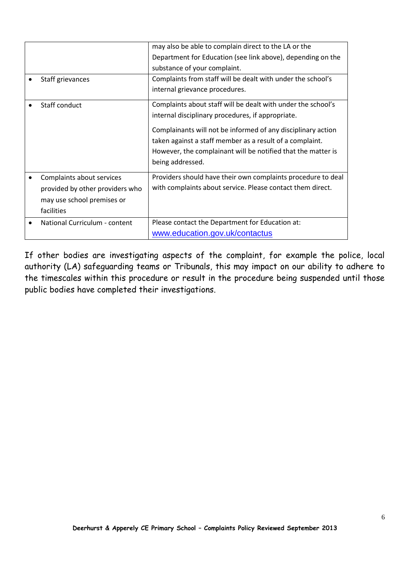|                                 | may also be able to complain direct to the LA or the         |
|---------------------------------|--------------------------------------------------------------|
|                                 | Department for Education (see link above), depending on the  |
|                                 | substance of your complaint.                                 |
| Staff grievances                | Complaints from staff will be dealt with under the school's  |
|                                 | internal grievance procedures.                               |
| Staff conduct                   | Complaints about staff will be dealt with under the school's |
|                                 | internal disciplinary procedures, if appropriate.            |
|                                 | Complainants will not be informed of any disciplinary action |
|                                 | taken against a staff member as a result of a complaint.     |
|                                 | However, the complainant will be notified that the matter is |
|                                 | being addressed.                                             |
| Complaints about services       | Providers should have their own complaints procedure to deal |
| provided by other providers who | with complaints about service. Please contact them direct.   |
| may use school premises or      |                                                              |
| facilities                      |                                                              |
| National Curriculum - content   | Please contact the Department for Education at:              |
|                                 | www.education.gov.uk/contactus                               |

If other bodies are investigating aspects of the complaint, for example the police, local authority (LA) safeguarding teams or Tribunals, this may impact on our ability to adhere to the timescales within this procedure or result in the procedure being suspended until those public bodies have completed their investigations.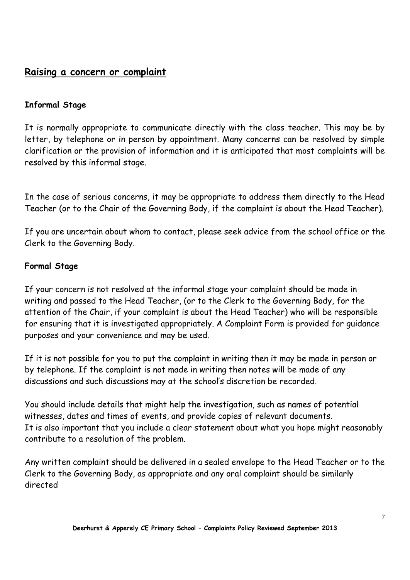#### **Raising a concern or complaint**

#### **Informal Stage**

It is normally appropriate to communicate directly with the class teacher. This may be by letter, by telephone or in person by appointment. Many concerns can be resolved by simple clarification or the provision of information and it is anticipated that most complaints will be resolved by this informal stage.

In the case of serious concerns, it may be appropriate to address them directly to the Head Teacher (or to the Chair of the Governing Body, if the complaint is about the Head Teacher).

If you are uncertain about whom to contact, please seek advice from the school office or the Clerk to the Governing Body.

#### **Formal Stage**

If your concern is not resolved at the informal stage your complaint should be made in writing and passed to the Head Teacher, (or to the Clerk to the Governing Body, for the attention of the Chair, if your complaint is about the Head Teacher) who will be responsible for ensuring that it is investigated appropriately. A Complaint Form is provided for guidance purposes and your convenience and may be used.

If it is not possible for you to put the complaint in writing then it may be made in person or by telephone. If the complaint is not made in writing then notes will be made of any discussions and such discussions may at the school's discretion be recorded.

You should include details that might help the investigation, such as names of potential witnesses, dates and times of events, and provide copies of relevant documents. It is also important that you include a clear statement about what you hope might reasonably contribute to a resolution of the problem.

Any written complaint should be delivered in a sealed envelope to the Head Teacher or to the Clerk to the Governing Body, as appropriate and any oral complaint should be similarly directed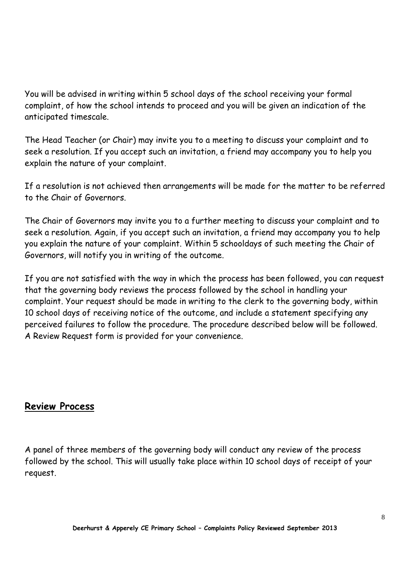You will be advised in writing within 5 school days of the school receiving your formal complaint, of how the school intends to proceed and you will be given an indication of the anticipated timescale.

The Head Teacher (or Chair) may invite you to a meeting to discuss your complaint and to seek a resolution. If you accept such an invitation, a friend may accompany you to help you explain the nature of your complaint.

If a resolution is not achieved then arrangements will be made for the matter to be referred to the Chair of Governors.

The Chair of Governors may invite you to a further meeting to discuss your complaint and to seek a resolution. Again, if you accept such an invitation, a friend may accompany you to help you explain the nature of your complaint. Within 5 schooldays of such meeting the Chair of Governors, will notify you in writing of the outcome.

If you are not satisfied with the way in which the process has been followed, you can request that the governing body reviews the process followed by the school in handling your complaint. Your request should be made in writing to the clerk to the governing body, within 10 school days of receiving notice of the outcome, and include a statement specifying any perceived failures to follow the procedure. The procedure described below will be followed. A Review Request form is provided for your convenience.

#### **Review Process**

A panel of three members of the governing body will conduct any review of the process followed by the school. This will usually take place within 10 school days of receipt of your request.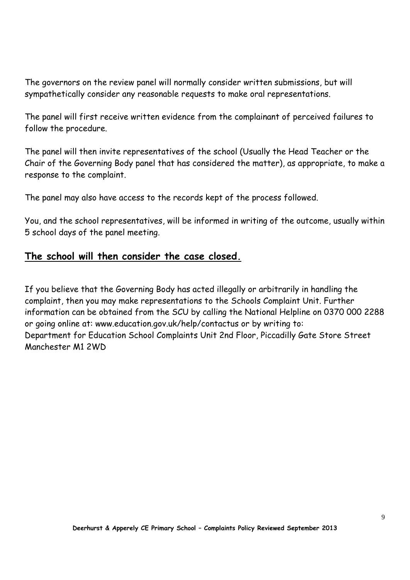The governors on the review panel will normally consider written submissions, but will sympathetically consider any reasonable requests to make oral representations.

The panel will first receive written evidence from the complainant of perceived failures to follow the procedure.

The panel will then invite representatives of the school (Usually the Head Teacher or the Chair of the Governing Body panel that has considered the matter), as appropriate, to make a response to the complaint.

The panel may also have access to the records kept of the process followed.

You, and the school representatives, will be informed in writing of the outcome, usually within 5 school days of the panel meeting.

#### **The school will then consider the case closed.**

If you believe that the Governing Body has acted illegally or arbitrarily in handling the complaint, then you may make representations to the Schools Complaint Unit. Further information can be obtained from the SCU by calling the National Helpline on 0370 000 2288 or going online at: www.education.gov.uk/help/contactus or by writing to: Department for Education School Complaints Unit 2nd Floor, Piccadilly Gate Store Street Manchester M1 2WD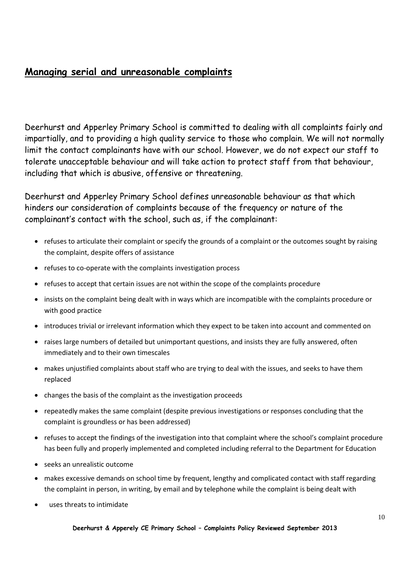#### **Managing serial and unreasonable complaints**

Deerhurst and Apperley Primary School is committed to dealing with all complaints fairly and impartially, and to providing a high quality service to those who complain. We will not normally limit the contact complainants have with our school. However, we do not expect our staff to tolerate unacceptable behaviour and will take action to protect staff from that behaviour, including that which is abusive, offensive or threatening.

Deerhurst and Apperley Primary School defines unreasonable behaviour as that which hinders our consideration of complaints because of the frequency or nature of the complainant's contact with the school, such as, if the complainant:

- refuses to articulate their complaint or specify the grounds of a complaint or the outcomes sought by raising the complaint, despite offers of assistance
- refuses to co-operate with the complaints investigation process
- refuses to accept that certain issues are not within the scope of the complaints procedure
- insists on the complaint being dealt with in ways which are incompatible with the complaints procedure or with good practice
- introduces trivial or irrelevant information which they expect to be taken into account and commented on
- raises large numbers of detailed but unimportant questions, and insists they are fully answered, often immediately and to their own timescales
- makes unjustified complaints about staff who are trying to deal with the issues, and seeks to have them replaced
- changes the basis of the complaint as the investigation proceeds
- repeatedly makes the same complaint (despite previous investigations or responses concluding that the complaint is groundless or has been addressed)
- refuses to accept the findings of the investigation into that complaint where the school's complaint procedure has been fully and properly implemented and completed including referral to the Department for Education
- seeks an unrealistic outcome
- makes excessive demands on school time by frequent, lengthy and complicated contact with staff regarding the complaint in person, in writing, by email and by telephone while the complaint is being dealt with
- uses threats to intimidate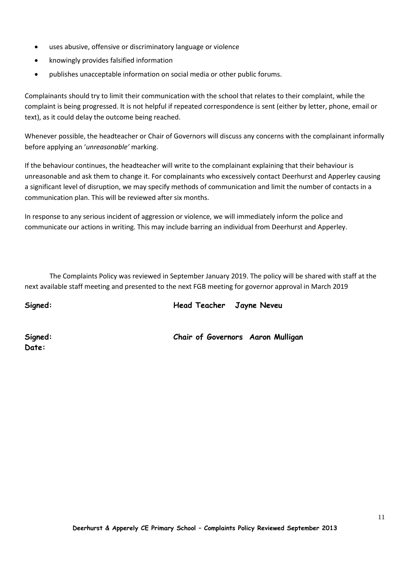- uses abusive, offensive or discriminatory language or violence
- knowingly provides falsified information
- publishes unacceptable information on social media or other public forums.

Complainants should try to limit their communication with the school that relates to their complaint, while the complaint is being progressed. It is not helpful if repeated correspondence is sent (either by letter, phone, email or text), as it could delay the outcome being reached.

Whenever possible, the headteacher or Chair of Governors will discuss any concerns with the complainant informally before applying an '*unreasonable'* marking.

If the behaviour continues, the headteacher will write to the complainant explaining that their behaviour is unreasonable and ask them to change it. For complainants who excessively contact Deerhurst and Apperley causing a significant level of disruption, we may specify methods of communication and limit the number of contacts in a communication plan. This will be reviewed after six months.

In response to any serious incident of aggression or violence, we will immediately inform the police and communicate our actions in writing. This may include barring an individual from Deerhurst and Apperley.

The Complaints Policy was reviewed in September January 2019. The policy will be shared with staff at the next available staff meeting and presented to the next FGB meeting for governor approval in March 2019

**Signed: Head Teacher Jayne Neveu**

**Date:**

**Signed: Chair of Governors Aaron Mulligan**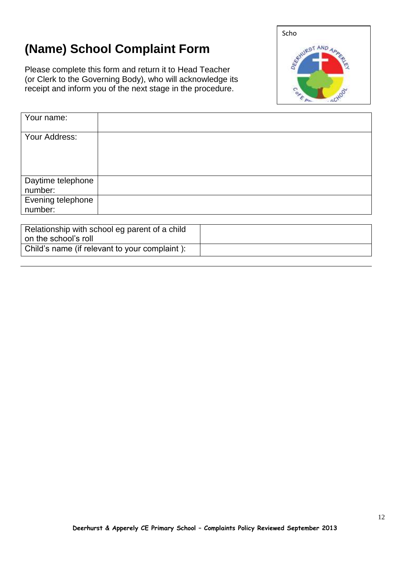### **(Name) School Complaint Form**

Please complete this form and return it to Head Teacher (or Clerk to the Governing Body), who will acknowledge its receipt and inform you of the next stage in the procedure.



| Your name:                   |  |
|------------------------------|--|
| Your Address:                |  |
| Daytime telephone<br>number: |  |
| Evening telephone<br>number: |  |

| Relationship with school eg parent of a child |  |
|-----------------------------------------------|--|
| on the school's roll                          |  |
| Child's name (if relevant to your complaint): |  |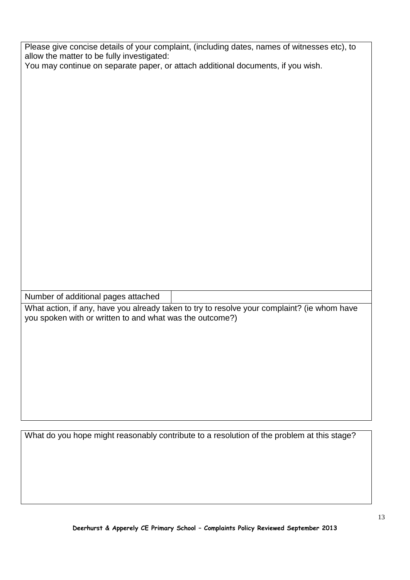| Please give concise details of your complaint, (including dates, names of witnesses etc), to |  |  |
|----------------------------------------------------------------------------------------------|--|--|
| allow the matter to be fully investigated:                                                   |  |  |
| You may continue on separate paper, or attach additional documents, if you wish.             |  |  |
|                                                                                              |  |  |
|                                                                                              |  |  |
|                                                                                              |  |  |
|                                                                                              |  |  |
|                                                                                              |  |  |
|                                                                                              |  |  |
|                                                                                              |  |  |
|                                                                                              |  |  |
|                                                                                              |  |  |
|                                                                                              |  |  |
|                                                                                              |  |  |
|                                                                                              |  |  |
|                                                                                              |  |  |
|                                                                                              |  |  |
|                                                                                              |  |  |
|                                                                                              |  |  |
|                                                                                              |  |  |
|                                                                                              |  |  |
|                                                                                              |  |  |
|                                                                                              |  |  |
|                                                                                              |  |  |
| Number of additional pages attached                                                          |  |  |
|                                                                                              |  |  |
| What action, if any, have you already taken to try to resolve your complaint? (ie whom have  |  |  |
| you spoken with or written to and what was the outcome?)                                     |  |  |
|                                                                                              |  |  |
|                                                                                              |  |  |
|                                                                                              |  |  |
|                                                                                              |  |  |
|                                                                                              |  |  |
|                                                                                              |  |  |
|                                                                                              |  |  |
|                                                                                              |  |  |
|                                                                                              |  |  |
|                                                                                              |  |  |
| What do you hope might reasonably contribute to a resolution of the problem at this stage?   |  |  |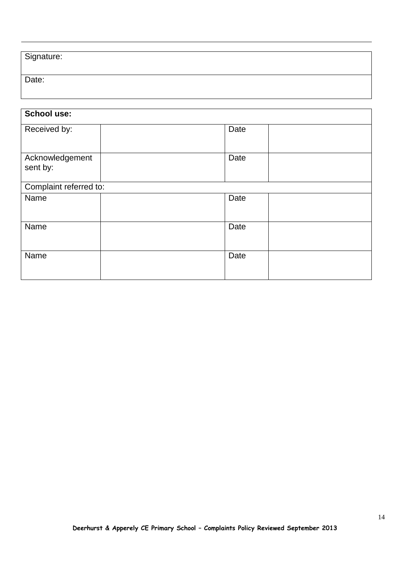| Signature: |  |
|------------|--|
| Date:      |  |

| <b>School use:</b>          |  |      |  |
|-----------------------------|--|------|--|
| Received by:                |  | Date |  |
| Acknowledgement<br>sent by: |  | Date |  |
| Complaint referred to:      |  |      |  |
| Name                        |  | Date |  |
| Name                        |  | Date |  |
| Name                        |  | Date |  |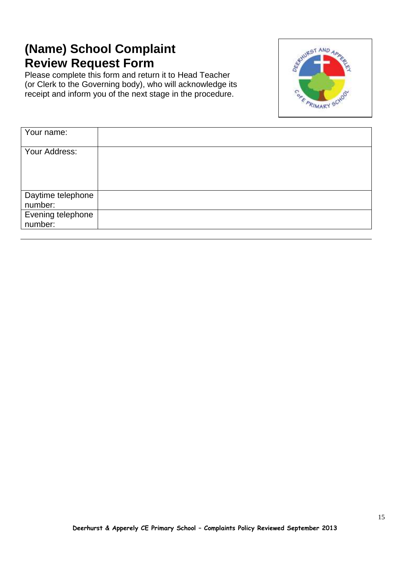### **(Name) School Complaint Review Request Form**

Please complete this form and return it to Head Teacher (or Clerk to the Governing body), who will acknowledge its receipt and inform you of the next stage in the procedure.



| Your name:        |  |
|-------------------|--|
|                   |  |
| Your Address:     |  |
|                   |  |
|                   |  |
|                   |  |
| Daytime telephone |  |
| number:           |  |
| Evening telephone |  |
| number:           |  |
|                   |  |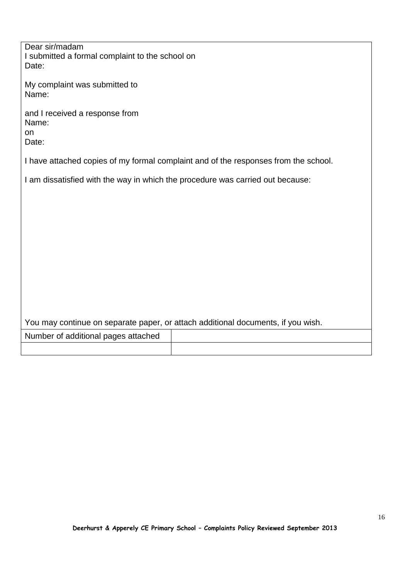| Dear sir/madam<br>I submitted a formal complaint to the school on                                                                                                     |  |
|-----------------------------------------------------------------------------------------------------------------------------------------------------------------------|--|
| Date:<br>My complaint was submitted to                                                                                                                                |  |
| Name:                                                                                                                                                                 |  |
| and I received a response from<br>Name:<br>on                                                                                                                         |  |
| Date:                                                                                                                                                                 |  |
| I have attached copies of my formal complaint and of the responses from the school.<br>I am dissatisfied with the way in which the procedure was carried out because: |  |
|                                                                                                                                                                       |  |
|                                                                                                                                                                       |  |
|                                                                                                                                                                       |  |
|                                                                                                                                                                       |  |
|                                                                                                                                                                       |  |
|                                                                                                                                                                       |  |
| You may continue on separate paper, or attach additional documents, if you wish.                                                                                      |  |

| Number of additional pages attached |  |
|-------------------------------------|--|
|                                     |  |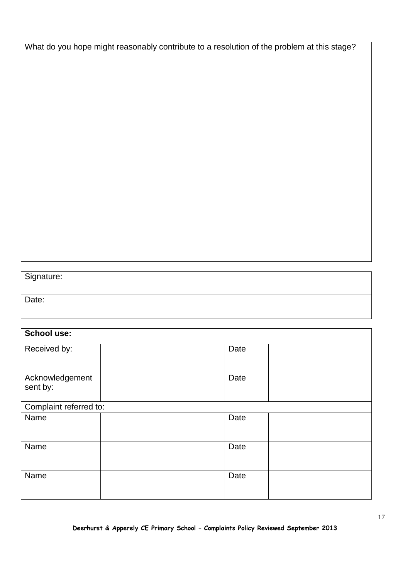What do you hope might reasonably contribute to a resolution of the problem at this stage?

#### Signature:

Date:

## **School use:** Received by: Notice and the Date of Date of Date and Date of Date of Date of Date of Date of Date of Date of Date of Date of Date of Date of Date of Date of Date of Date of Date of Date of Date of Date of Date of Date of D Acknowledgement sent by: Date Complaint referred to: Name and the property of the property of  $\vert$  Date Name and the property of the property of  $\vert$  Date Name and the property of the property of  $\vert$  Date